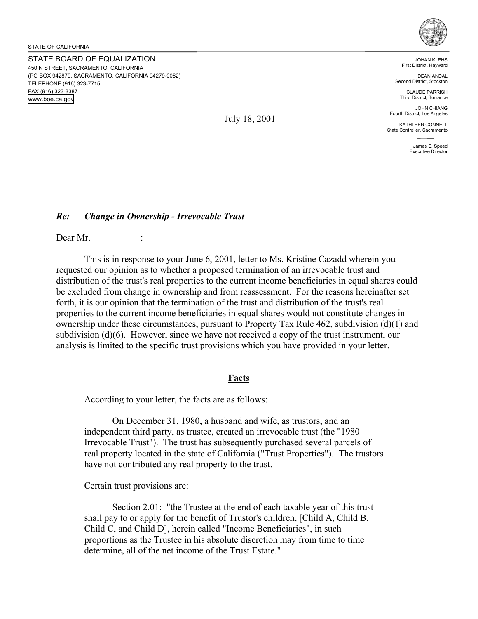STATE BOARD OF EQUALIZATION 450 N STREET, SACRAMENTO, CALIFORNIA (PO BOX 942879, SACRAMENTO, CALIFORNIA 94279-0082) TELEPHONE (916) 323-7715 FAX (916) 323-3387 www.boe.ca.gov



JOHAN KLEHS First District, Hayward

DEAN ANDAL Second District, Stockton

CLAUDE PARRISH Third District, Torrance

JOHN CHIANG Fourth District, Los Angeles

KATHLEEN CONNELL State Controller, Sacramento

> James E. Speed Executive Director

### *Re: Change in Ownership - Irrevocable Trust*

Dear Mr.

This is in response to your June 6, 2001, letter to Ms. Kristine Cazadd wherein you requested our opinion as to whether a proposed termination of an irrevocable trust and distribution of the trust's real properties to the current income beneficiaries in equal shares could be excluded from change in ownership and from reassessment. For the reasons hereinafter set forth, it is our opinion that the termination of the trust and distribution of the trust's real properties to the current income beneficiaries in equal shares would not constitute changes in ownership under these circumstances, pursuant to Property Tax Rule 462, subdivision (d)(1) and subdivision (d)(6). However, since we have not received a copy of the trust instrument, our analysis is limited to the specific trust provisions which you have provided in your letter.

#### **Facts**

According to your letter, the facts are as follows:

On December 31, 1980, a husband and wife, as trustors, and an independent third party, as trustee, created an irrevocable trust (the "1980 Irrevocable Trust"). The trust has subsequently purchased several parcels of real property located in the state of California ("Trust Properties"). The trustors have not contributed any real property to the trust.

Certain trust provisions are:

Section 2.01: "the Trustee at the end of each taxable year of this trust shall pay to or apply for the benefit of Trustor's children, [Child A, Child B, Child C, and Child D], herein called "Income Beneficiaries", in such proportions as the Trustee in his absolute discretion may from time to time determine, all of the net income of the Trust Estate."

July 18, 2001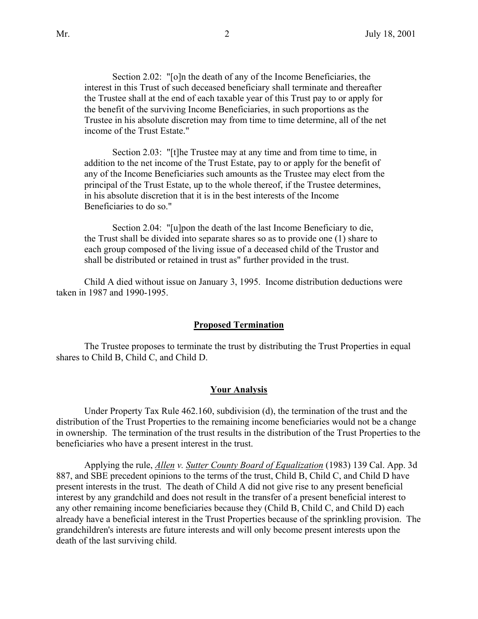Section 2.02: "[o]n the death of any of the Income Beneficiaries, the interest in this Trust of such deceased beneficiary shall terminate and thereafter the Trustee shall at the end of each taxable year of this Trust pay to or apply for the benefit of the surviving Income Beneficiaries, in such proportions as the Trustee in his absolute discretion may from time to time determine, all of the net income of the Trust Estate."

Section 2.03: "[t]he Trustee may at any time and from time to time, in addition to the net income of the Trust Estate, pay to or apply for the benefit of any of the Income Beneficiaries such amounts as the Trustee may elect from the principal of the Trust Estate, up to the whole thereof, if the Trustee determines, in his absolute discretion that it is in the best interests of the Income Beneficiaries to do so."

Section 2.04: "[u]pon the death of the last Income Beneficiary to die, the Trust shall be divided into separate shares so as to provide one (1) share to each group composed of the living issue of a deceased child of the Trustor and shall be distributed or retained in trust as" further provided in the trust.

Child A died without issue on January 3, 1995. Income distribution deductions were taken in 1987 and 1990-1995.

#### **Proposed Termination**

The Trustee proposes to terminate the trust by distributing the Trust Properties in equal shares to Child B, Child C, and Child D.

#### **Your Analysis**

Under Property Tax Rule 462.160, subdivision (d), the termination of the trust and the distribution of the Trust Properties to the remaining income beneficiaries would not be a change in ownership. The termination of the trust results in the distribution of the Trust Properties to the beneficiaries who have a present interest in the trust.

Applying the rule, *Allen v. Sutter County Board of Equalization* (1983) 139 Cal. App. 3d 887, and SBE precedent opinions to the terms of the trust, Child B, Child C, and Child D have present interests in the trust. The death of Child A did not give rise to any present beneficial interest by any grandchild and does not result in the transfer of a present beneficial interest to any other remaining income beneficiaries because they (Child B, Child C, and Child D) each already have a beneficial interest in the Trust Properties because of the sprinkling provision. The grandchildren's interests are future interests and will only become present interests upon the death of the last surviving child.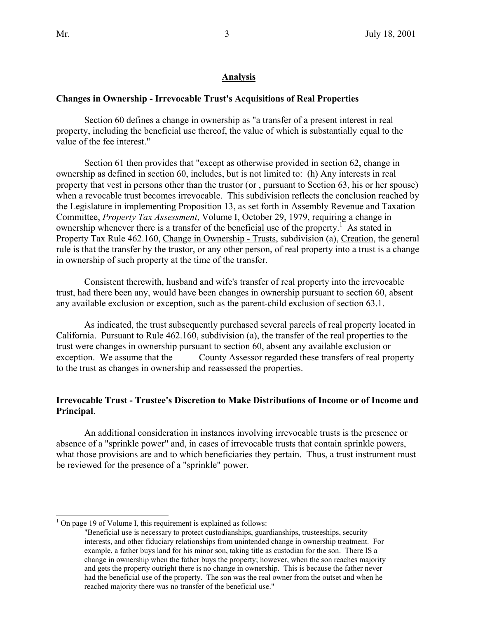$\overline{a}$ 

## **Analysis**

### **Changes in Ownership - Irrevocable Trust's Acquisitions of Real Properties**

Section 60 defines a change in ownership as "a transfer of a present interest in real property, including the beneficial use thereof, the value of which is substantially equal to the value of the fee interest."

Section 61 then provides that "except as otherwise provided in section 62, change in ownership as defined in section 60, includes, but is not limited to: (h) Any interests in real property that vest in persons other than the trustor (or , pursuant to Section 63, his or her spouse) when a revocable trust becomes irrevocable. This subdivision reflects the conclusion reached by the Legislature in implementing Proposition 13, as set forth in Assembly Revenue and Taxation Committee, *Property Tax Assessment*, Volume I, October 29, 1979, requiring a change in ownership whenever there is a transfer of the beneficial use of the property.<sup>1</sup> As stated in Property Tax Rule 462.160, Change in Ownership - Trusts, subdivision (a), Creation, the general rule is that the transfer by the trustor, or any other person, of real property into a trust is a change in ownership of such property at the time of the transfer.

Consistent therewith, husband and wife's transfer of real property into the irrevocable trust, had there been any, would have been changes in ownership pursuant to section 60, absent any available exclusion or exception, such as the parent-child exclusion of section 63.1.

As indicated, the trust subsequently purchased several parcels of real property located in California. Pursuant to Rule 462.160, subdivision (a), the transfer of the real properties to the trust were changes in ownership pursuant to section 60, absent any available exclusion or exception. We assume that the County Assessor regarded these transfers of real property to the trust as changes in ownership and reassessed the properties.

## **Irrevocable Trust - Trustee's Discretion to Make Distributions of Income or of Income and Principal**.

An additional consideration in instances involving irrevocable trusts is the presence or absence of a "sprinkle power" and, in cases of irrevocable trusts that contain sprinkle powers, what those provisions are and to which beneficiaries they pertain. Thus, a trust instrument must be reviewed for the presence of a "sprinkle" power.

 $<sup>1</sup>$  On page 19 of Volume I, this requirement is explained as follows:</sup>

<sup>&</sup>quot;Beneficial use is necessary to protect custodianships, guardianships, trusteeships, security interests, and other fiduciary relationships from unintended change in ownership treatment. For example, a father buys land for his minor son, taking title as custodian for the son. There IS a change in ownership when the father buys the property; however, when the son reaches majority and gets the property outright there is no change in ownership. This is because the father never had the beneficial use of the property. The son was the real owner from the outset and when he reached majority there was no transfer of the beneficial use."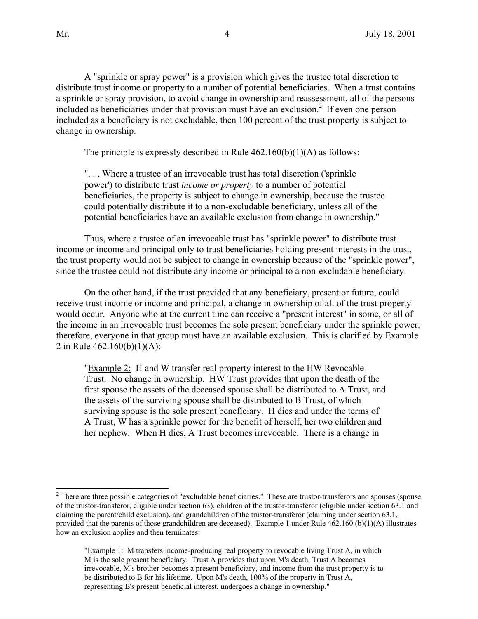$\overline{a}$ 

A "sprinkle or spray power" is a provision which gives the trustee total discretion to distribute trust income or property to a number of potential beneficiaries. When a trust contains a sprinkle or spray provision, to avoid change in ownership and reassessment, all of the persons included as beneficiaries under that provision must have an exclusion.<sup>2</sup> If even one person included as a beneficiary is not excludable, then 100 percent of the trust property is subject to change in ownership.

The principle is expressly described in Rule  $462.160(b)(1)(A)$  as follows:

". . . Where a trustee of an irrevocable trust has total discretion ('sprinkle power') to distribute trust *income or property* to a number of potential beneficiaries, the property is subject to change in ownership, because the trustee could potentially distribute it to a non-excludable beneficiary, unless all of the potential beneficiaries have an available exclusion from change in ownership."

Thus, where a trustee of an irrevocable trust has "sprinkle power" to distribute trust income or income and principal only to trust beneficiaries holding present interests in the trust, the trust property would not be subject to change in ownership because of the "sprinkle power", since the trustee could not distribute any income or principal to a non-excludable beneficiary.

On the other hand, if the trust provided that any beneficiary, present or future, could receive trust income or income and principal, a change in ownership of all of the trust property would occur. Anyone who at the current time can receive a "present interest" in some, or all of the income in an irrevocable trust becomes the sole present beneficiary under the sprinkle power; therefore, everyone in that group must have an available exclusion. This is clarified by Example 2 in Rule 462.160(b)(1)(A):

"Example 2: H and W transfer real property interest to the HW Revocable Trust. No change in ownership. HW Trust provides that upon the death of the first spouse the assets of the deceased spouse shall be distributed to A Trust, and the assets of the surviving spouse shall be distributed to B Trust, of which surviving spouse is the sole present beneficiary. H dies and under the terms of A Trust, W has a sprinkle power for the benefit of herself, her two children and her nephew. When H dies, A Trust becomes irrevocable. There is a change in

 $2<sup>2</sup>$  There are three possible categories of "excludable beneficiaries." These are trustor-transferors and spouses (spouse of the trustor-transferor, eligible under section 63), children of the trustor-transferor (eligible under section 63.1 and claiming the parent/child exclusion), and grandchildren of the trustor-transferor (claiming under section 63.1, provided that the parents of those grandchildren are deceased). Example 1 under Rule  $462.160$  (b)(1)(A) illustrates how an exclusion applies and then terminates:

<sup>&</sup>quot;Example 1: M transfers income-producing real property to revocable living Trust A, in which M is the sole present beneficiary. Trust A provides that upon M's death, Trust A becomes irrevocable, M's brother becomes a present beneficiary, and income from the trust property is to be distributed to B for his lifetime. Upon M's death, 100% of the property in Trust A, representing B's present beneficial interest, undergoes a change in ownership."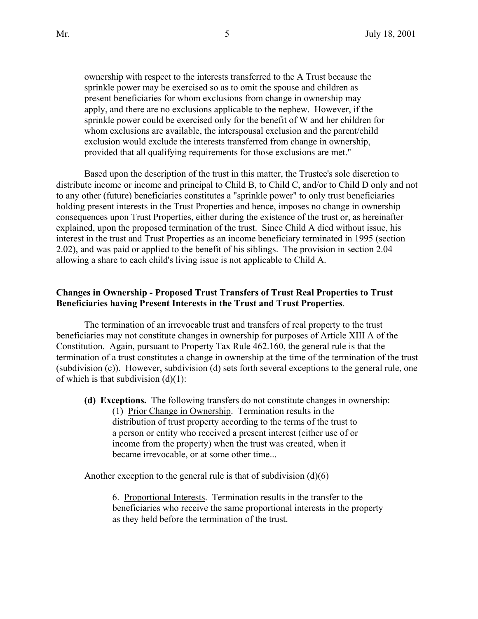ownership with respect to the interests transferred to the A Trust because the sprinkle power may be exercised so as to omit the spouse and children as present beneficiaries for whom exclusions from change in ownership may apply, and there are no exclusions applicable to the nephew. However, if the sprinkle power could be exercised only for the benefit of W and her children for whom exclusions are available, the interspousal exclusion and the parent/child exclusion would exclude the interests transferred from change in ownership, provided that all qualifying requirements for those exclusions are met."

Based upon the description of the trust in this matter, the Trustee's sole discretion to distribute income or income and principal to Child B, to Child C, and/or to Child D only and not to any other (future) beneficiaries constitutes a "sprinkle power" to only trust beneficiaries holding present interests in the Trust Properties and hence, imposes no change in ownership consequences upon Trust Properties, either during the existence of the trust or, as hereinafter explained, upon the proposed termination of the trust. Since Child A died without issue, his interest in the trust and Trust Properties as an income beneficiary terminated in 1995 (section 2.02), and was paid or applied to the benefit of his siblings. The provision in section 2.04 allowing a share to each child's living issue is not applicable to Child A.

## **Changes in Ownership - Proposed Trust Transfers of Trust Real Properties to Trust Beneficiaries having Present Interests in the Trust and Trust Properties**.

The termination of an irrevocable trust and transfers of real property to the trust beneficiaries may not constitute changes in ownership for purposes of Article XIII A of the Constitution. Again, pursuant to Property Tax Rule 462.160, the general rule is that the termination of a trust constitutes a change in ownership at the time of the termination of the trust (subdivision (c)). However, subdivision (d) sets forth several exceptions to the general rule, one of which is that subdivision  $(d)(1)$ :

**(d) Exceptions.** The following transfers do not constitute changes in ownership: (1) Prior Change in Ownership. Termination results in the distribution of trust property according to the terms of the trust to a person or entity who received a present interest (either use of or income from the property) when the trust was created, when it became irrevocable, or at some other time...

Another exception to the general rule is that of subdivision  $(d)(6)$ 

6. Proportional Interests. Termination results in the transfer to the beneficiaries who receive the same proportional interests in the property as they held before the termination of the trust.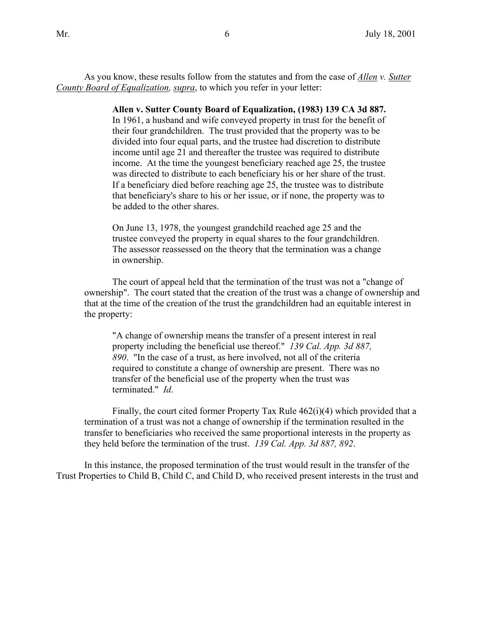As you know, these results follow from the statutes and from the case of *Allen v. Sutter County Board of Equalization, supra*, to which you refer in your letter:

> **Allen v. Sutter County Board of Equalization, (1983) 139 CA 3d 887.** In 1961, a husband and wife conveyed property in trust for the benefit of their four grandchildren. The trust provided that the property was to be divided into four equal parts, and the trustee had discretion to distribute income until age 21 and thereafter the trustee was required to distribute income. At the time the youngest beneficiary reached age 25, the trustee was directed to distribute to each beneficiary his or her share of the trust. If a beneficiary died before reaching age 25, the trustee was to distribute that beneficiary's share to his or her issue, or if none, the property was to be added to the other shares.

On June 13, 1978, the youngest grandchild reached age 25 and the trustee conveyed the property in equal shares to the four grandchildren. The assessor reassessed on the theory that the termination was a change in ownership.

The court of appeal held that the termination of the trust was not a "change of ownership". The court stated that the creation of the trust was a change of ownership and that at the time of the creation of the trust the grandchildren had an equitable interest in the property:

"A change of ownership means the transfer of a present interest in real property including the beneficial use thereof." *139 Cal. App. 3d 887, 890*. "In the case of a trust, as here involved, not all of the criteria required to constitute a change of ownership are present. There was no transfer of the beneficial use of the property when the trust was terminated." *Id*.

Finally, the court cited former Property Tax Rule  $462(i)(4)$  which provided that a termination of a trust was not a change of ownership if the termination resulted in the transfer to beneficiaries who received the same proportional interests in the property as they held before the termination of the trust. *139 Cal. App. 3d 887, 892*.

In this instance, the proposed termination of the trust would result in the transfer of the Trust Properties to Child B, Child C, and Child D, who received present interests in the trust and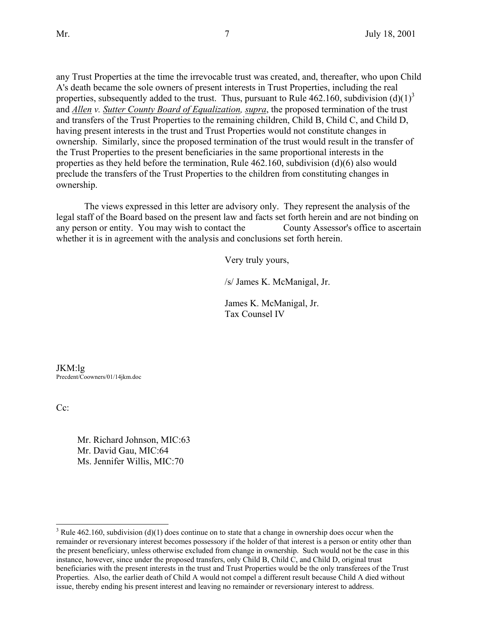any Trust Properties at the time the irrevocable trust was created, and, thereafter, who upon Child A's death became the sole owners of present interests in Trust Properties, including the real properties, subsequently added to the trust. Thus, pursuant to Rule 462.160, subdivision  $(d)(1)^3$ and *Allen v. Sutter County Board of Equalization, supra*, the proposed termination of the trust and transfers of the Trust Properties to the remaining children, Child B, Child C, and Child D, having present interests in the trust and Trust Properties would not constitute changes in ownership. Similarly, since the proposed termination of the trust would result in the transfer of the Trust Properties to the present beneficiaries in the same proportional interests in the properties as they held before the termination, Rule 462.160, subdivision (d)(6) also would preclude the transfers of the Trust Properties to the children from constituting changes in ownership.

The views expressed in this letter are advisory only. They represent the analysis of the legal staff of the Board based on the present law and facts set forth herein and are not binding on any person or entity. You may wish to contact the County Assessor's office to ascertain whether it is in agreement with the analysis and conclusions set forth herein.

Very truly yours,

/s/ James K. McManigal, Jr.

James K. McManigal, Jr. Tax Counsel IV

JKM:lg Precdent/Coowners/01/14jkm.doc

Cc:

 $\overline{a}$ 

Mr. Richard Johnson, MIC:63 Mr. David Gau, MIC:64 Ms. Jennifer Willis, MIC:70

<sup>&</sup>lt;sup>3</sup> Rule 462.160, subdivision (d)(1) does continue on to state that a change in ownership does occur when the remainder or reversionary interest becomes possessory if the holder of that interest is a person or entity other than the present beneficiary, unless otherwise excluded from change in ownership. Such would not be the case in this instance, however, since under the proposed transfers, only Child B, Child C, and Child D, original trust beneficiaries with the present interests in the trust and Trust Properties would be the only transferees of the Trust Properties. Also, the earlier death of Child A would not compel a different result because Child A died without issue, thereby ending his present interest and leaving no remainder or reversionary interest to address.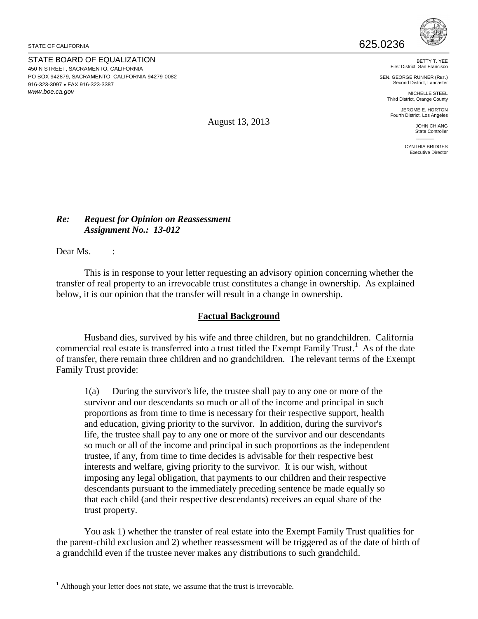STATE OF CALIFORNIA  $625.0236$ 

STATE BOARD OF EQUALIZATION 450 N STREET, SACRAMENTO, CALIFORNIA PO BOX 942879, SACRAMENTO, CALIFORNIA 94279-0082 916-323-3097 • FAX 916-323-3387 *www.boe.ca.gov*



BETTY T. YEE First District, San Francisco

SEN. GEORGE RUNNER (RET.) Second District, Lancaster

> MICHELLE STEEL Third District, Orange County

JEROME E. HORTON Fourth District, Los Angeles

> JOHN CHIANG State Controller  $\mathcal{L}$

CYNTHIA BRIDGES Executive Director

August 13, 2013

## *Re: Request for Opinion on Reassessment Assignment No.: 13-012*

Dear Ms. :

 $\overline{a}$ 

This is in response to your letter requesting an advisory opinion concerning whether the transfer of real property to an irrevocable trust constitutes a change in ownership. As explained below, it is our opinion that the transfer will result in a change in ownership.

# **Factual Background**

Husband dies, survived by his wife and three children, but no grandchildren. California commercial real estate is transferred into a trust titled the Exempt Family Trust.<sup>[1](#page-7-0)</sup> As of the date of transfer, there remain three children and no grandchildren. The relevant terms of the Exempt Family Trust provide:

1(a) During the survivor's life, the trustee shall pay to any one or more of the survivor and our descendants so much or all of the income and principal in such proportions as from time to time is necessary for their respective support, health and education, giving priority to the survivor. In addition, during the survivor's life, the trustee shall pay to any one or more of the survivor and our descendants so much or all of the income and principal in such proportions as the independent trustee, if any, from time to time decides is advisable for their respective best interests and welfare, giving priority to the survivor. It is our wish, without imposing any legal obligation, that payments to our children and their respective descendants pursuant to the immediately preceding sentence be made equally so that each child (and their respective descendants) receives an equal share of the trust property.

You ask 1) whether the transfer of real estate into the Exempt Family Trust qualifies for the parent-child exclusion and 2) whether reassessment will be triggered as of the date of birth of a grandchild even if the trustee never makes any distributions to such grandchild.

<span id="page-7-0"></span> $1$  Although your letter does not state, we assume that the trust is irrevocable.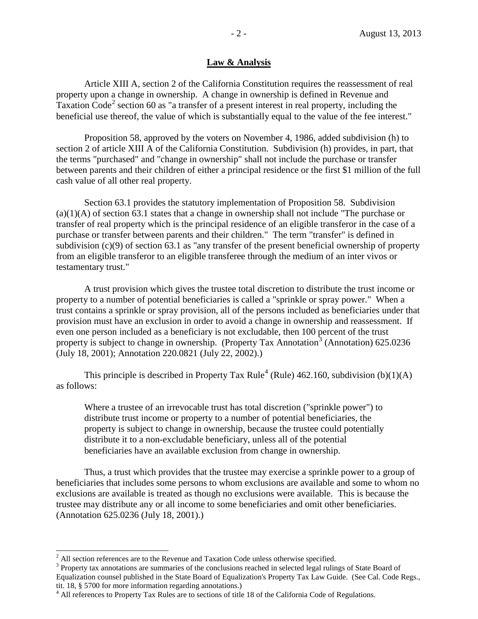## **Law & Analysis**

Article XIII A, section 2 of the California Constitution requires the reassessment of real property upon a change in ownership. A change in ownership is defined in Revenue and Taxation Code<sup>[2](#page-8-0)</sup> section 60 as "a transfer of a present interest in real property, including the beneficial use thereof, the value of which is substantially equal to the value of the fee interest."

Proposition 58, approved by the voters on November 4, 1986, added subdivision (h) to section 2 of article XIII A of the California Constitution. Subdivision (h) provides, in part, that the terms "purchased" and "change in ownership" shall not include the purchase or transfer between parents and their children of either a principal residence or the first \$1 million of the full cash value of all other real property.

Section 63.1 provides the statutory implementation of Proposition 58. Subdivision  $(a)(1)(A)$  of section 63.1 states that a change in ownership shall not include "The purchase or transfer of real property which is the principal residence of an eligible transferor in the case of a purchase or transfer between parents and their children." The term "transfer" is defined in subdivision (c)(9) of section 63.1 as "any transfer of the present beneficial ownership of property from an eligible transferor to an eligible transferee through the medium of an inter vivos or testamentary trust."

A trust provision which gives the trustee total discretion to distribute the trust income or property to a number of potential beneficiaries is called a "sprinkle or spray power." When a trust contains a sprinkle or spray provision, all of the persons included as beneficiaries under that provision must have an exclusion in order to avoid a change in ownership and reassessment. If even one person included as a beneficiary is not excludable, then 100 percent of the trust property is subject to change in ownership. (Property Tax Annotation<sup>[3](#page-8-1)</sup> (Annotation) 625.0236 (July 18, 2001); Annotation 220.0821 (July 22, 2002).)

This principle is described in Property Tax Rule<sup>[4](#page-8-2)</sup> (Rule) 462.160, subdivision (b)(1)(A) as follows:

Where a trustee of an irrevocable trust has total discretion ("sprinkle power") to distribute trust income or property to a number of potential beneficiaries, the property is subject to change in ownership, because the trustee could potentially distribute it to a non-excludable beneficiary, unless all of the potential beneficiaries have an available exclusion from change in ownership.

Thus, a trust which provides that the trustee may exercise a sprinkle power to a group of beneficiaries that includes some persons to whom exclusions are available and some to whom no exclusions are available is treated as though no exclusions were available. This is because the trustee may distribute any or all income to some beneficiaries and omit other beneficiaries. (Annotation 625.0236 (July 18, 2001).)

 $\overline{a}$ 

<span id="page-8-0"></span> $2<sup>2</sup>$  All section references are to the Revenue and Taxation Code unless otherwise specified.

<span id="page-8-1"></span><sup>&</sup>lt;sup>3</sup> Property tax annotations are summaries of the conclusions reached in selected legal rulings of State Board of Equalization counsel published in the State Board of Equalization's Property Tax Law Guide. (See Cal. Code Regs., tit. 18, § 5700 for more information regarding annotations.)

<span id="page-8-2"></span><sup>&</sup>lt;sup>4</sup> All references to Property Tax Rules are to sections of title 18 of the California Code of Regulations.